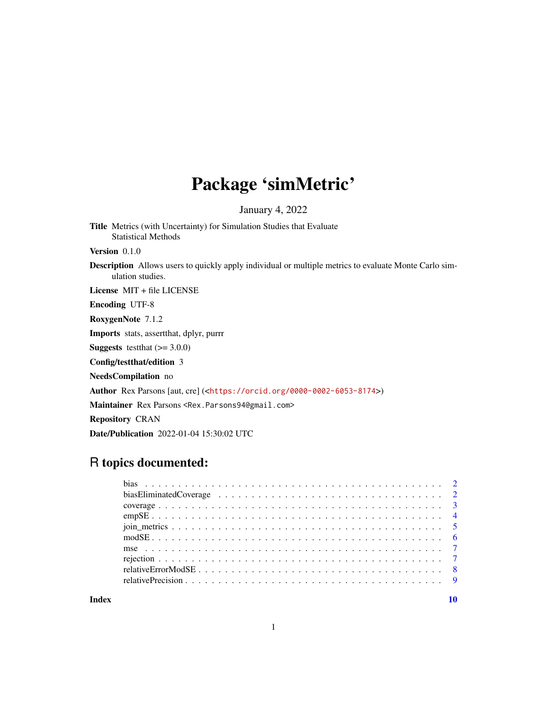## Package 'simMetric'

January 4, 2022

Title Metrics (with Uncertainty) for Simulation Studies that Evaluate Statistical Methods

Version 0.1.0

Description Allows users to quickly apply individual or multiple metrics to evaluate Monte Carlo simulation studies.

License MIT + file LICENSE

Encoding UTF-8

RoxygenNote 7.1.2

Imports stats, assertthat, dplyr, purrr

**Suggests** testthat  $(>= 3.0.0)$ 

Config/testthat/edition 3

NeedsCompilation no

Author Rex Parsons [aut, cre] (<<https://orcid.org/0000-0002-6053-8174>>)

Maintainer Rex Parsons <Rex.Parsons94@gmail.com>

Repository CRAN

Date/Publication 2022-01-04 15:30:02 UTC

### R topics documented:

 $\blacksquare$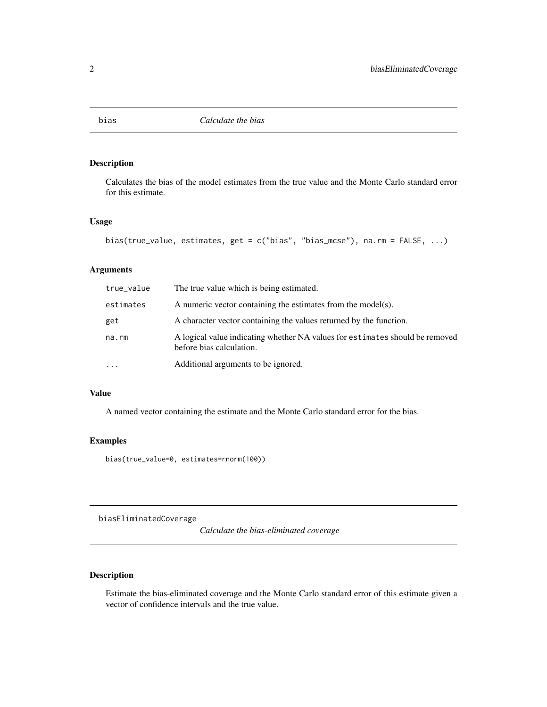<span id="page-1-0"></span>

#### Description

Calculates the bias of the model estimates from the true value and the Monte Carlo standard error for this estimate.

#### Usage

```
bias(true_value, estimates, get = c("bias", "bias_mcse"), na.rm = FALSE, ...)
```
#### Arguments

| true_value | The true value which is being estimated.                                                                 |
|------------|----------------------------------------------------------------------------------------------------------|
| estimates  | A numeric vector containing the estimates from the model(s).                                             |
| get        | A character vector containing the values returned by the function.                                       |
| na.rm      | A logical value indicating whether NA values for estimates should be removed<br>before bias calculation. |
| .          | Additional arguments to be ignored.                                                                      |

#### Value

A named vector containing the estimate and the Monte Carlo standard error for the bias.

#### Examples

bias(true\_value=0, estimates=rnorm(100))

biasEliminatedCoverage

*Calculate the bias-eliminated coverage*

#### Description

Estimate the bias-eliminated coverage and the Monte Carlo standard error of this estimate given a vector of confidence intervals and the true value.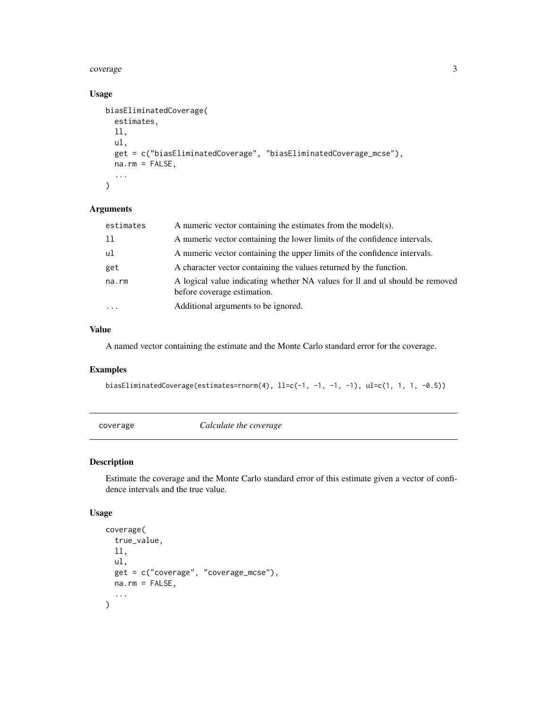#### <span id="page-2-0"></span>coverage 3

#### Usage

```
biasEliminatedCoverage(
  estimates,
  ll,
  ul,
  get = c("biasEliminatedCoverage", "biasEliminatedCoverage_mcse"),
 na.rm = FALSE,
  ...
\mathcal{L}
```
#### Arguments

| estimates | A numeric vector containing the estimates from the model(s).                                                |
|-----------|-------------------------------------------------------------------------------------------------------------|
| -11       | A numeric vector containing the lower limits of the confidence intervals.                                   |
| ul        | A numeric vector containing the upper limits of the confidence intervals.                                   |
| get       | A character vector containing the values returned by the function.                                          |
| na.rm     | A logical value indicating whether NA values for ll and ul should be removed<br>before coverage estimation. |
| $\cdot$   | Additional arguments to be ignored.                                                                         |

#### Value

A named vector containing the estimate and the Monte Carlo standard error for the coverage.

#### Examples

```
biasEliminatedCoverage(estimates=rnorm(4), 1l=c(-1, -1, -1, -1), ul=c(1, 1, 1, -0.5))
```
coverage *Calculate the coverage*

#### Description

Estimate the coverage and the Monte Carlo standard error of this estimate given a vector of confidence intervals and the true value.

#### Usage

```
coverage(
  true_value,
  ll,
 ul,
  get = c("coverage", "coverage_mcse"),
 na.rm = FALSE,
  ...
)
```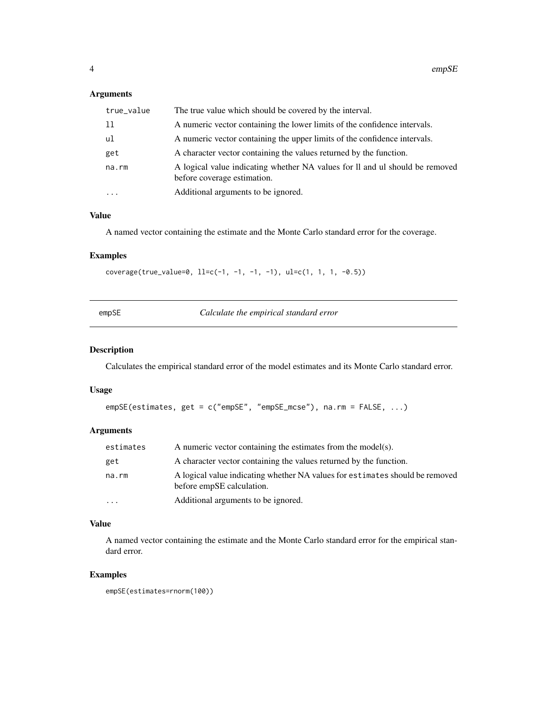#### <span id="page-3-0"></span>Arguments

| true_value | The true value which should be covered by the interval.                                                     |
|------------|-------------------------------------------------------------------------------------------------------------|
| -11        | A numeric vector containing the lower limits of the confidence intervals.                                   |
| ul         | A numeric vector containing the upper limits of the confidence intervals.                                   |
| get        | A character vector containing the values returned by the function.                                          |
| na.rm      | A logical value indicating whether NA values for Il and ul should be removed<br>before coverage estimation. |
| $\cdots$   | Additional arguments to be ignored.                                                                         |

#### Value

A named vector containing the estimate and the Monte Carlo standard error for the coverage.

#### Examples

```
coverage(true_value=0, ll=c(-1, -1, -1, -1), ul=c(1, 1, 1, -0.5))
```

|  | empSE | Calculate the empirical standard error |
|--|-------|----------------------------------------|
|--|-------|----------------------------------------|

#### Description

Calculates the empirical standard error of the model estimates and its Monte Carlo standard error.

#### Usage

```
empSE(estimates, get = c("empSE", "empSE_mcse"), na.rm = FALSE, ...)
```
#### Arguments

| estimates | A numeric vector containing the estimates from the model(s).                                              |
|-----------|-----------------------------------------------------------------------------------------------------------|
| get       | A character vector containing the values returned by the function.                                        |
| na.rm     | A logical value indicating whether NA values for estimates should be removed<br>before empSE calculation. |
| $\ddotsc$ | Additional arguments to be ignored.                                                                       |

#### Value

A named vector containing the estimate and the Monte Carlo standard error for the empirical standard error.

#### Examples

```
empSE(estimates=rnorm(100))
```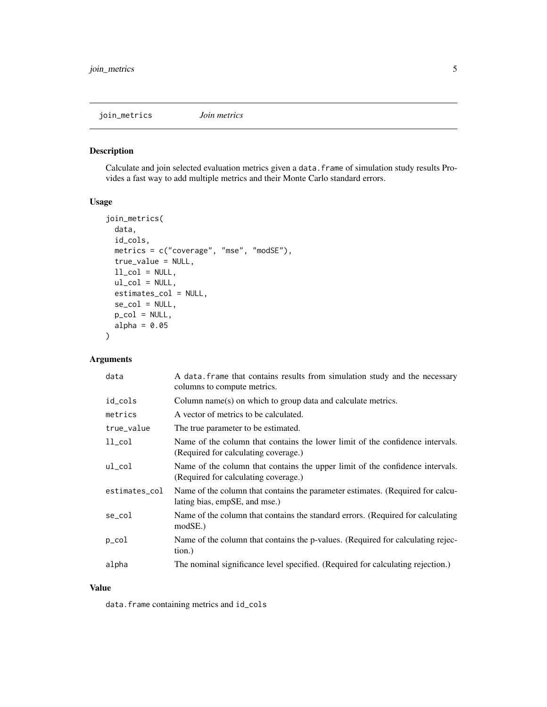<span id="page-4-0"></span>join\_metrics *Join metrics*

#### Description

Calculate and join selected evaluation metrics given a data.frame of simulation study results Provides a fast way to add multiple metrics and their Monte Carlo standard errors.

#### Usage

```
join_metrics(
  data,
  id_cols,
  metrics = c("coverage", "mse", "modSE"),
  true_value = NULL,
  ll\_col = NULL,ul_col = NULL,estimates_col = NULL,
  se\_col = NULL,p_{col} = NULL,
  alpha = 0.05)
```
#### Arguments

| data          | A data frame that contains results from simulation study and the necessary<br>columns to compute metrics.             |
|---------------|-----------------------------------------------------------------------------------------------------------------------|
| id_cols       | Column name(s) on which to group data and calculate metrics.                                                          |
| metrics       | A vector of metrics to be calculated.                                                                                 |
| true_value    | The true parameter to be estimated.                                                                                   |
| $ll\_col$     | Name of the column that contains the lower limit of the confidence intervals.<br>(Required for calculating coverage.) |
| $ul_{col}$    | Name of the column that contains the upper limit of the confidence intervals.<br>(Required for calculating coverage.) |
| estimates_col | Name of the column that contains the parameter estimates. (Required for calcu-<br>lating bias, empSE, and mse.)       |
| se_col        | Name of the column that contains the standard errors. (Required for calculating<br>modSE.                             |
| $p_{col}$     | Name of the column that contains the p-values. (Required for calculating rejec-<br>tion.)                             |
| alpha         | The nominal significance level specified. (Required for calculating rejection.)                                       |

#### Value

data.frame containing metrics and id\_cols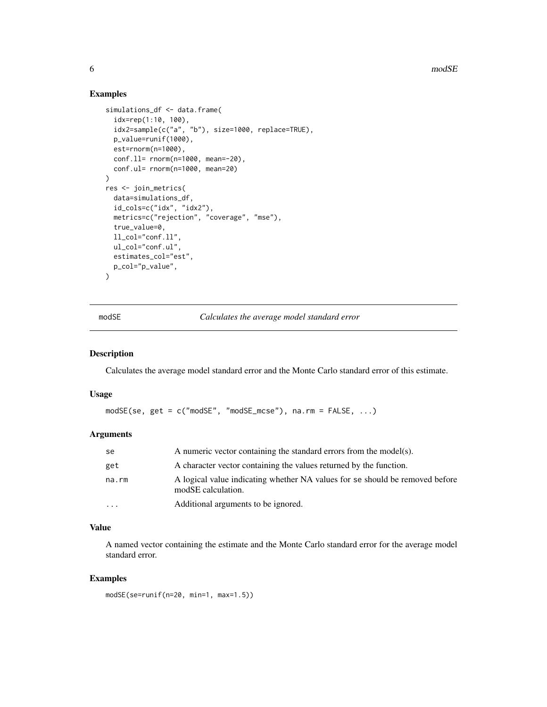6 modSE

#### Examples

```
simulations_df <- data.frame(
  idx=rep(1:10, 100),
  idx2=sample(c("a", "b"), size=1000, replace=TRUE),
  p_value=runif(1000),
  est=rnorm(n=1000),
  conf.ll= rnorm(n=1000, mean=-20),
  conf.ul= rnorm(n=1000, mean=20)
\lambdares <- join_metrics(
  data=simulations_df,
  id_cols=c("idx", "idx2"),
  metrics=c("rejection", "coverage", "mse"),
  true_value=0,
  ll_col="conf.ll",
  ul_col="conf.ul",
  estimates_col="est",
  p_col="p_value",
\lambda
```
modSE *Calculates the average model standard error*

#### Description

Calculates the average model standard error and the Monte Carlo standard error of this estimate.

#### Usage

modSE(se, get = c("modSE", "modSE\_mcse"), na.rm = FALSE, ...)

#### Arguments

| se       | A numeric vector containing the standard errors from the model(s).                                 |
|----------|----------------------------------------------------------------------------------------------------|
| get      | A character vector containing the values returned by the function.                                 |
| na.rm    | A logical value indicating whether NA values for se should be removed before<br>modSE calculation. |
| $\cdots$ | Additional arguments to be ignored.                                                                |

#### Value

A named vector containing the estimate and the Monte Carlo standard error for the average model standard error.

#### Examples

```
modSE(se=runif(n=20, min=1, max=1.5))
```
<span id="page-5-0"></span>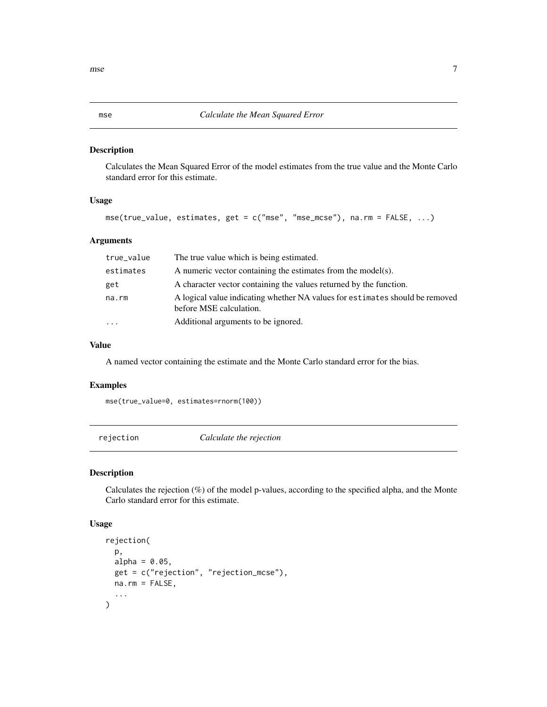#### Description

Calculates the Mean Squared Error of the model estimates from the true value and the Monte Carlo standard error for this estimate.

#### Usage

```
mse(true_value, estimates, get = c("mse", "mse_mcse"), na.rm = FALSE, ...)
```
#### Arguments

| true_value          | The true value which is being estimated.                                                                |
|---------------------|---------------------------------------------------------------------------------------------------------|
| estimates           | A numeric vector containing the estimates from the model(s).                                            |
| get                 | A character vector containing the values returned by the function.                                      |
| na.rm               | A logical value indicating whether NA values for estimates should be removed<br>before MSE calculation. |
| $\cdot \cdot \cdot$ | Additional arguments to be ignored.                                                                     |

#### Value

A named vector containing the estimate and the Monte Carlo standard error for the bias.

#### Examples

mse(true\_value=0, estimates=rnorm(100))

rejection *Calculate the rejection*

#### Description

Calculates the rejection (%) of the model p-values, according to the specified alpha, and the Monte Carlo standard error for this estimate.

#### Usage

```
rejection(
  p,
  alpha = 0.05,
  get = c("rejection", "rejection_mcse"),
 na.rm = FALSE,
  ...
\mathcal{E}
```
<span id="page-6-0"></span>mse aangeste van die 19de eeu n.C. In die 19de eeu n.C. In die 19de eeu n.C. 2014 v.C. 2014 is die 19de eeu n.C. 2014 is die 19de eeu n.C. 2014 is die 19de eeu n.C. 2014 is die 19de eeu n.C. 2014 is die 19de eeu n.C. 2014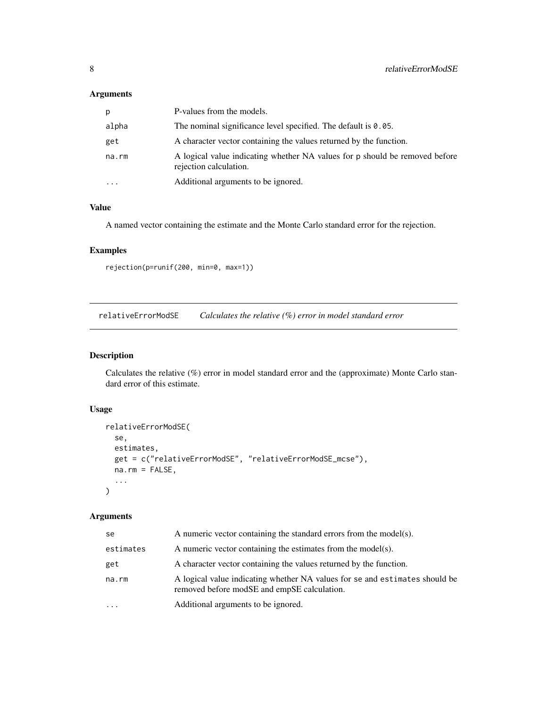#### <span id="page-7-0"></span>Arguments

| p.        | P-values from the models.                                                                             |
|-----------|-------------------------------------------------------------------------------------------------------|
| alpha     | The nominal significance level specified. The default is $0.05$ .                                     |
| get       | A character vector containing the values returned by the function.                                    |
| na.rm     | A logical value indicating whether NA values for p should be removed before<br>rejection calculation. |
| $\ddotsc$ | Additional arguments to be ignored.                                                                   |

#### Value

A named vector containing the estimate and the Monte Carlo standard error for the rejection.

#### Examples

```
rejection(p=runif(200, min=0, max=1))
```
relativeErrorModSE *Calculates the relative (%) error in model standard error*

#### Description

Calculates the relative (%) error in model standard error and the (approximate) Monte Carlo standard error of this estimate.

#### Usage

```
relativeErrorModSE(
  se,
 estimates,
 get = c("relativeErrorModSE", "relativeErrorModSE_mcse"),
 na.rm = FALSE,...
)
```
#### Arguments

| se        | A numeric vector containing the standard errors from the model(s).                                                         |
|-----------|----------------------------------------------------------------------------------------------------------------------------|
| estimates | A numeric vector containing the estimates from the model(s).                                                               |
| get       | A character vector containing the values returned by the function.                                                         |
| na.rm     | A logical value indicating whether NA values for se and estimates should be<br>removed before modSE and empSE calculation. |
| .         | Additional arguments to be ignored.                                                                                        |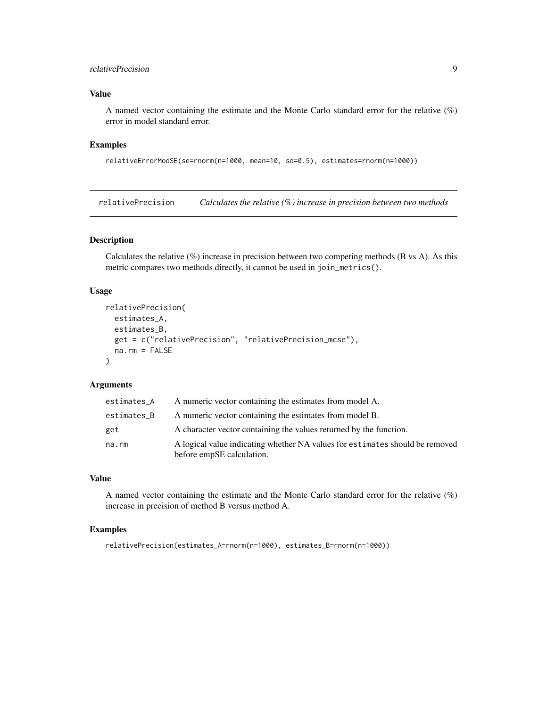#### <span id="page-8-0"></span>relativePrecision 9

#### Value

A named vector containing the estimate and the Monte Carlo standard error for the relative (%) error in model standard error.

#### Examples

relativeErrorModSE(se=rnorm(n=1000, mean=10, sd=0.5), estimates=rnorm(n=1000))

relativePrecision *Calculates the relative (%) increase in precision between two methods*

#### Description

Calculates the relative  $(\%)$  increase in precision between two competing methods (B vs A). As this metric compares two methods directly, it cannot be used in join\_metrics().

#### Usage

```
relativePrecision(
 estimates_A,
  estimates_B,
 get = c("relativePrecision", "relativePrecision_mcse"),
 na.rm = FALSE
\lambda
```
#### Arguments

| estimates_A | A numeric vector containing the estimates from model A.                                                   |
|-------------|-----------------------------------------------------------------------------------------------------------|
| estimates_B | A numeric vector containing the estimates from model B.                                                   |
| get         | A character vector containing the values returned by the function.                                        |
| na.rm       | A logical value indicating whether NA values for estimates should be removed<br>before empSE calculation. |

#### Value

A named vector containing the estimate and the Monte Carlo standard error for the relative (%) increase in precision of method B versus method A.

#### Examples

relativePrecision(estimates\_A=rnorm(n=1000), estimates\_B=rnorm(n=1000))